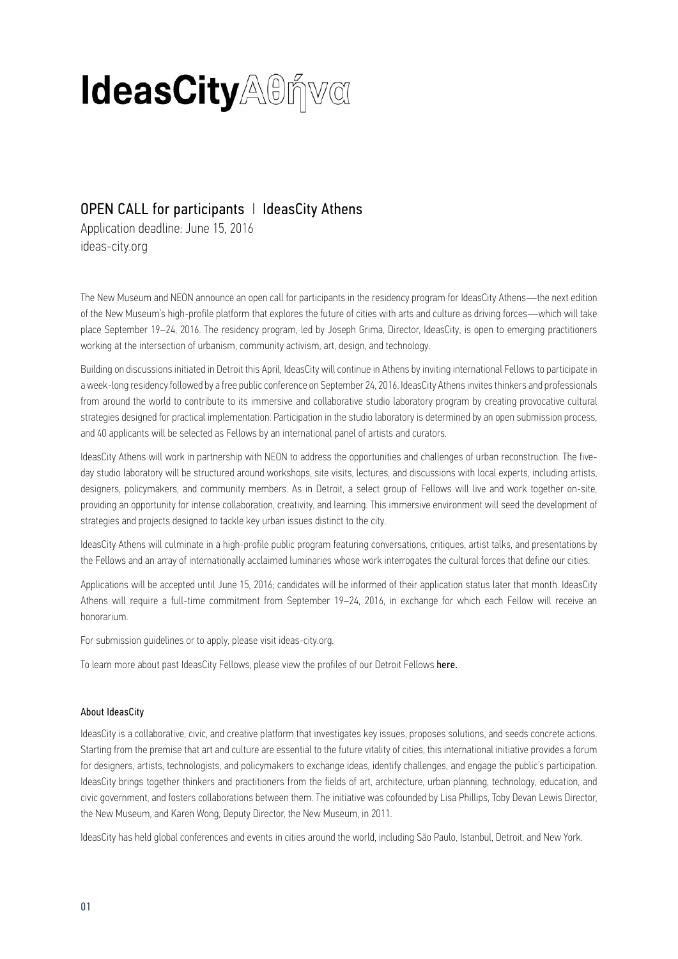# **IdeasCity**AOnva

# OPEN CALL for participants | IdeasCity Athens

Application deadline: June 15, 2016 [ideas-city.org](http://www.ideas-city.org/) 

The New Museum and NEON announce an open call for participants in the residency program for IdeasCity Athens—the next edition of the New Museum's high-profile platform that explores the future of cities with arts and culture as driving forces—which will take place September 19–24, 2016. The residency program, led by Joseph Grima, Director, IdeasCity, is open to emerging practitioners working at the intersection of urbanism, community activism, art, design, and technology.

Building on discussions initiated in Detroit this April, IdeasCity will continue in Athens by inviting international Fellows to participate in a week-long residency followed by a free public conference on September 24, 2016. IdeasCity Athens invites thinkers and professionals from around the world to contribute to its immersive and collaborative studio laboratory program by creating provocative cultural strategies designed for practical implementation. Participation in the studio laboratory is determined by an open submission process, and 40 applicants will be selected as Fellows by an international panel of artists and curators.

IdeasCity Athens will work in partnership with NEON to address the opportunities and challenges of urban reconstruction. The fiveday studio laboratory will be structured around workshops, site visits, lectures, and discussions with local experts, including artists, designers, policymakers, and community members. As in Detroit, a select group of Fellows will live and work together on-site, providing an opportunity for intense collaboration, creativity, and learning. This immersive environment will seed the development of strategies and projects designed to tackle key urban issues distinct to the city.

IdeasCity Athens will culminate in a high-profile public program featuring conversations, critiques, artist talks, and presentations by the Fellows and an array of internationally acclaimed luminaries whose work interrogates the cultural forces that define our cities.

Applications will be accepted until June 15, 2016; candidates will be informed of their application status later that month. IdeasCity Athens will require a full-time commitment from September 19–24, 2016, in exchange for which each Fellow will receive an honorarium.

For submission guidelines or to apply, please visit [ideas-city.org.](http://www.ideas-city.org/)

To learn more about past IdeasCity Fellows, please view the profiles of our Detroit Fellows [here.](http://www.ideas-city.org/ideascity-detroit/studio-laboratory/fellows/)

## About IdeasCity

IdeasCity is a collaborative, civic, and creative platform that investigates key issues, proposes solutions, and seeds concrete actions. Starting from the premise that art and culture are essential to the future vitality of cities, this international initiative provides a forum for designers, artists, technologists, and policymakers to exchange ideas, identify challenges, and engage the public's participation. IdeasCity brings together thinkers and practitioners from the fields of art, architecture, urban planning, technology, education, and civic government, and fosters collaborations between them. The initiative was cofounded by Lisa Phillips, Toby Devan Lewis Director, the New Museum, and Karen Wong, Deputy Director, the New Museum, in 2011.

IdeasCity has held global conferences and events in cities around the world, including São Paulo, Istanbul, Detroit, and New York.